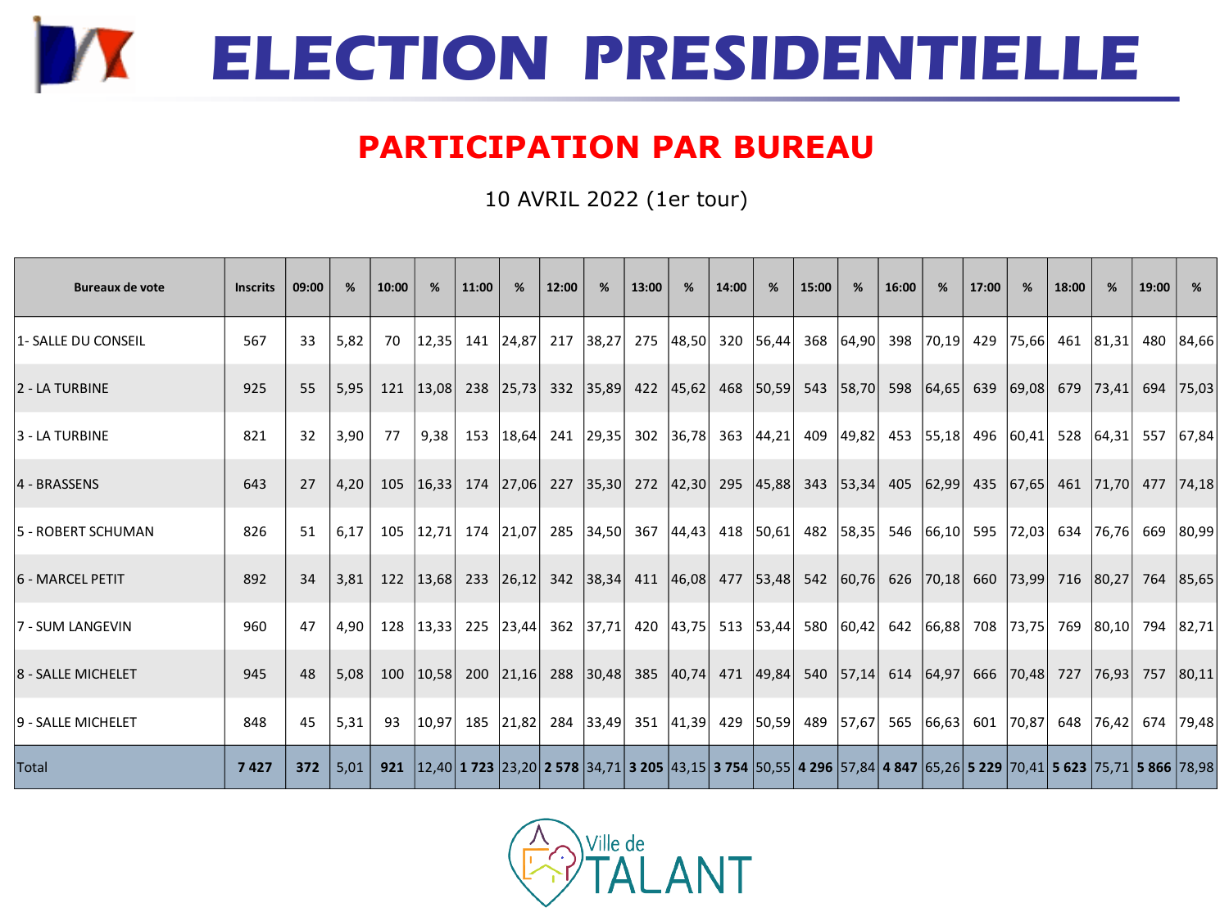

## **PARTICIPATION PAR BUREAU**

10 AVRIL 2022 (1er tour)

| <b>Bureaux de vote</b>  | <b>Inscrits</b> | 09:00 | %    | 10:00 | %     | 11:00 | %             | 12:00 | %                   | 13:00 | %                   | 14:00 | %         | 15:00                                                                                                                                                                            | %                         | 16:00 | %      | 17:00 | %         | 18:00 | %     | 19:00 | %         |
|-------------------------|-----------------|-------|------|-------|-------|-------|---------------|-------|---------------------|-------|---------------------|-------|-----------|----------------------------------------------------------------------------------------------------------------------------------------------------------------------------------|---------------------------|-------|--------|-------|-----------|-------|-------|-------|-----------|
| 1- SALLE DU CONSEIL     | 567             | 33    | 5,82 | 70    | 12,35 |       | 141 24,87     | 217   | 38,27               |       | 275 48,50           |       | 320 56,44 |                                                                                                                                                                                  | 368 64,90 398             |       | 70, 19 | 429   | 75,66     | 461   | 81,31 |       | 480 84,66 |
| 2 - LA TURBINE          | 925             | 55    | 5,95 | 121   | 13,08 |       | 238 25,73     |       | 332 35,89           |       | 422 45,62           |       | 468 50,59 |                                                                                                                                                                                  | 543 58,70                 | 598   | 64,65  |       | 639 69,08 | 679   | 73,41 | 694   | 75,03     |
| 3 - LA TURBINE          | 821             | 32    | 3,90 | 77    | 9,38  |       | 153 18,64     |       | 241 29,35           |       | 302 36,78           |       | 363 44,21 |                                                                                                                                                                                  | 409 49,82 453             |       | 55,18  |       | 496 60,41 | 528   | 64.31 | 557   | 67,84     |
| 4 - BRASSENS            | 643             | 27    | 4,20 | 105   | 16,33 |       | 174 27,06     |       | 227 35,30           |       | 272 42,30           |       | 295 45,88 |                                                                                                                                                                                  | 343 53,34 405             |       | 62,99  |       | 435 67,65 | 461   | 71,70 | 477   | 74,18     |
| 5 - ROBERT SCHUMAN      | 826             | 51    | 6,17 | 105   | 12,71 |       | 174 21,07     |       | 285 34,50           |       | 367 44,43           |       | 418 50,61 |                                                                                                                                                                                  | 482 58,35 546 66,10       |       |        | 595   | 72,03     | 634   | 76,76 |       | 669 80,99 |
| <b>6 - MARCEL PETIT</b> | 892             | 34    | 3,81 | 122   | 13,68 |       | 233 26,12     | 342   | 38,34               |       | 411 46,08           |       | 477 53,48 |                                                                                                                                                                                  | 542 60,76 626             |       | 70,18  | 660   | 73,99     | 716   | 80,27 | 764   | 85,65     |
| 17 - SUM LANGEVIN       | 960             | 47    | 4,90 | 128   | 13,33 |       | 225 23,44     |       | 362 37,71           |       | 420 43,75 513 53,44 |       |           |                                                                                                                                                                                  | 580 60,42 642             |       | 66,88  | 708   | 73,75     | 769   | 80,10 | 794   | 82,71     |
| 8 - SALLE MICHELET      | 945             | 48    | 5,08 | 100   | 10,58 |       | 200 21,16 288 |       | 30,48               |       | 385 40,74           |       | 471 49,84 |                                                                                                                                                                                  | 540   57,14   614   64,97 |       |        | 666   | 70,48     | 727   | 76,93 | 757   | 80,11     |
| 9 - SALLE MICHELET      | 848             | 45    | 5,31 | 93    | 10,97 |       | 185 21,82     |       | 284 33,49 351 41,39 |       |                     |       | 429 50,59 |                                                                                                                                                                                  | 489   57,67   565         |       | 66,63  | 601   | 70,87     | 648   | 76,42 | 674   | 79,48     |
| Total                   | 7427            | 372   | 5,01 | 921   |       |       |               |       |                     |       |                     |       |           | 12,40 <b>1 723</b> 23,20 <b>2 578</b> 34,71 <b>3 205</b> 43,15 <b>3 754</b> 50,55 <b>4 296</b> 57,84 <b>4 847</b> 65,26 <b>5 229</b> 70,41 <b>5 623</b> 75,71 <b>5 866</b> 78,98 |                           |       |        |       |           |       |       |       |           |

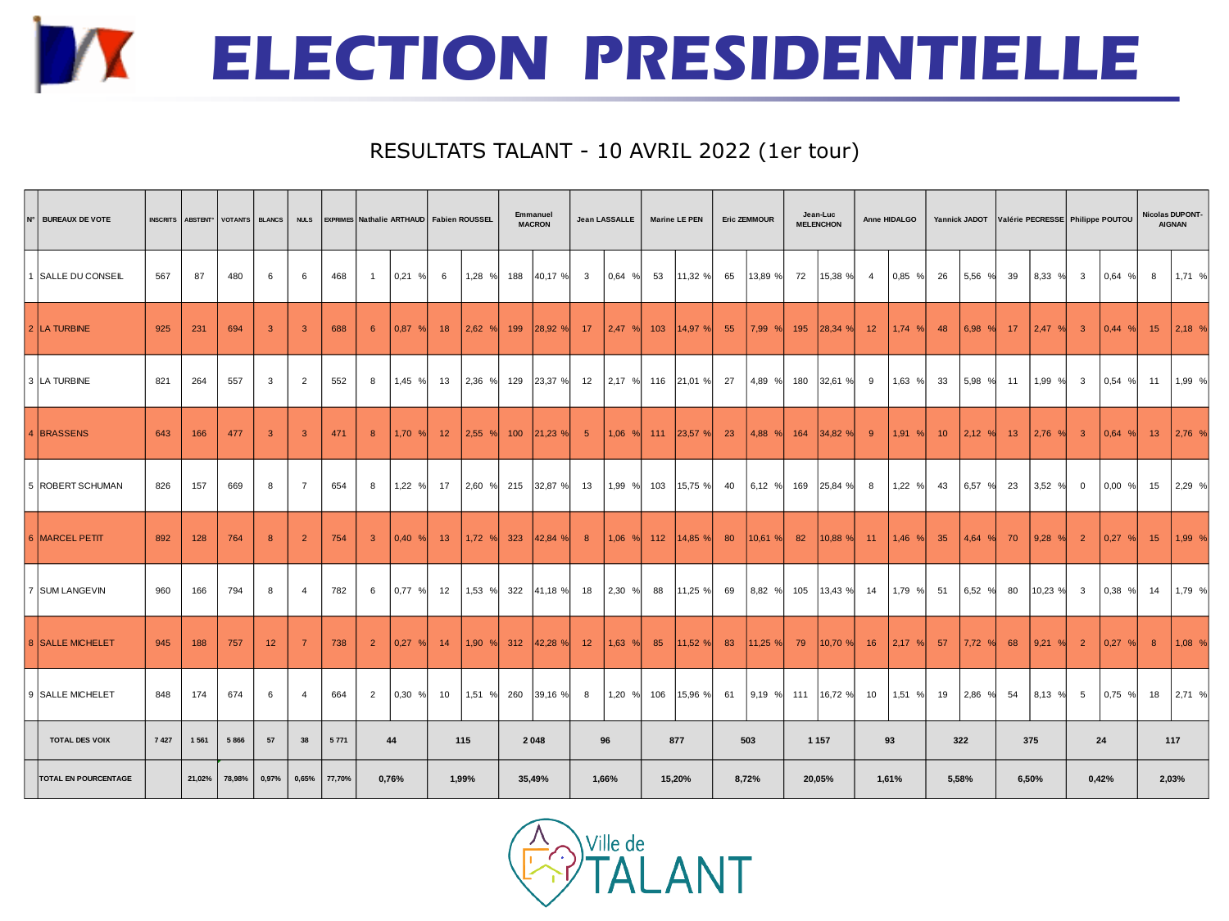## **ELECTION PRESIDENTIELLE**

## RESULTATS TALANT - 10 AVRIL 2022 (1er tour)

| N° BUREAUX DE VOTE          | INSCRITS ABSTENT <sup>®</sup> |         |        | VOTANTS BLANCS          | <b>NULS</b>    |         |                |              |    | <b>EXPRIMES Nathalie ARTHAUD</b> Fabien ROUSSEL |      | Emmanuel<br><b>Jean LASSALLE</b><br><b>MACRON</b> |                          |     | <b>Marine LE PEN</b> |    | <b>Eric ZEMMOUR</b> |     | Jean-Luc<br><b>MELENCHON</b> |                | Anne HIDALGO |                 |                       |       |          | Yannick JADOT Valérie PECRESSE Philippe POUTOU |           | <b>Nicolas DUPONT-</b><br><b>AIGNAN</b> |        |
|-----------------------------|-------------------------------|---------|--------|-------------------------|----------------|---------|----------------|--------------|----|-------------------------------------------------|------|---------------------------------------------------|--------------------------|-----|----------------------|----|---------------------|-----|------------------------------|----------------|--------------|-----------------|-----------------------|-------|----------|------------------------------------------------|-----------|-----------------------------------------|--------|
| 1 SALLE DU CONSEIL          | 567                           | 87      | 480    | 6                       | 6              | 468     | $\overline{1}$ | 0.21%        | 6  | 1,28 %                                          | 188  | 40,17 %                                           | $\mathbf{3}$<br>$0.64$ % | 53  | 11,32 %              | 65 | 13,89 %             | 72  | 15,38 %                      | $\overline{4}$ | 0,85 %       | 26              | 5,56 %                | 39    | 8,33 %   | $\mathbf{3}$                                   | 0.64 %    | 8                                       | 1,71 % |
| 2 LA TURBINE                | 925                           | 231     | 694    | $\overline{\mathbf{3}}$ | 3              | 688     | 6              | 0.87%        | 18 | 2,62<br>%                                       | 199  | 28.92 %                                           | $2,47$ %<br>17           | 103 | 14,97%               | 55 | 7,99 %              | 195 | 28,34 %                      | 12             | 1,74 %       | 48              | 6.98<br>$\frac{9}{6}$ | 17    | 2,47 %   | $\overline{\mathbf{3}}$                        | 0,44<br>% | 15 <sup>2</sup>                         | 2,18 % |
| 3 LA TURBINE                | 821                           | 264     | 557    | 3                       | $\overline{2}$ | 552     | 8              | 1,45 %       | 13 | 2,36 %                                          |      | 129 23,37 %                                       | 12<br>2,17 %             |     | 116 21,01 %          | 27 | 4,89 % 180          |     | 32,61 %                      | 9              | 1,63 %       | 33              | 5,98 %                | 11    | 1,99 % 3 |                                                | 0.54%     | 11                                      | 1,99 % |
| 4 BRASSENS                  | 643                           | 166     | 477    | -3                      | 3              | 471     | 8              | 1,70%        | 12 | $2,55$ %                                        | 100  | 21,23 %                                           | 5<br>$1,06$ %            | 111 | $ 23,57 \% $         | 23 | 4,88 %              | 164 | 34,82 %                      | 9              | 1,91 %       | 10 <sup>°</sup> | 2,12%                 | 13    | 2,76%    | $\overline{\mathbf{3}}$                        | $0,64$ %  | 13                                      | 2,76 % |
| 5 ROBERT SCHUMAN            | 826                           | 157     | 669    | 8                       | $\overline{7}$ | 654     | 8              | 1,22 %       | 17 | 2,60 %                                          | 215  | 32,87 %                                           | 1,99 %<br>13             | 103 | 15,75 %              | 40 | 6,12 %              | 169 | 25,84 %                      | 8              | 1,22 %       | 43              | 6,57 %                | 23    | 3,52 %   | $\overline{0}$                                 | $0,00\%$  | 15                                      | 2,29 % |
| 6 MARCEL PETIT              | 892                           | 128     | 764    | 8                       | $\overline{2}$ | 754     | -3             | 0,40%        | 13 | 1,72%                                           | 323  | 42,84 %                                           | 8<br>$1,06$ %            | 112 | 14,85%               | 80 | 10,61 %             | 82  | 10,88 %                      | 11             | 1,46 %       | 35              | 4,64<br>$\%$          | 70    | 9,28 %   | $\overline{2}$                                 | 0,27<br>% | 15                                      | 1,99 % |
| 7 SUM LANGEVIN              | 960                           | 166     | 794    | 8                       | $\overline{4}$ | 782     | 6              | 0.77%        | 12 | 1,53 %                                          | 322  | 41,18 %                                           | 2,30 %<br>18             | 88  | 11,25 %              | 69 | 8,82 %              | 105 | 13,43 %                      | 14             | 1,79 %       | 51              | 6,52 %                | 80    | 10,23 %  | $\overline{\mathbf{3}}$                        | 0.38 %    | 14                                      | 1,79 % |
| 8 SALLE MICHELET            | 945                           | 188     | 757    | 12                      | -7             | 738     | $\overline{2}$ | $ 0.27 \t% $ | 14 | 1,90%                                           |      | $312$ 42,28 %                                     | 12<br>1,63%              | 85  | 11,52%               | 83 | 11,25 %             | 79  | 10,70 %                      | 16             | $2,17$ %     | 57              | 7.72 %                | 68    | 9,21%    | $\overline{2}$                                 | 0.27 %    | 8                                       | 1,08 % |
| 9 SALLE MICHELET            | 848                           | 174     | 674    | 6                       | $\overline{4}$ | 664     | $\overline{2}$ | 0,30%        | 10 | 1,51 %                                          | 260  | 39,16 %                                           | 8<br>1,20 %              | 106 | 15,96 %              | 61 | 9,19 %              | 111 | 16,72 %                      | 10             | 1,51 %       | 19              | 2,86 %                | 54    | 8,13 %   | 5                                              | 0,75 %    | 18                                      | 2,71 % |
| <b>TOTAL DES VOIX</b>       | 7427                          | 1 5 6 1 | 5866   | 57                      | 38             | 5 7 7 1 |                | 44           |    | 115                                             | 2048 |                                                   | 96                       |     | 877                  |    | 503                 |     | 1 1 5 7                      | 93             |              | 322             |                       | 375   |          | 24                                             |           | 117                                     |        |
| <b>TOTAL EN POURCENTAGE</b> |                               | 21,02%  | 78,98% | 0,97%                   | 0,65%          | 77,70%  | 0,76%          |              |    | 1,99%<br>35,49%                                 |      |                                                   | 1,66%                    |     | 15,20%               |    | 8,72%               |     | 20,05%                       |                | 1,61%        |                 | 5,58%                 | 6,50% |          | 0,42%                                          |           | 2,03%                                   |        |